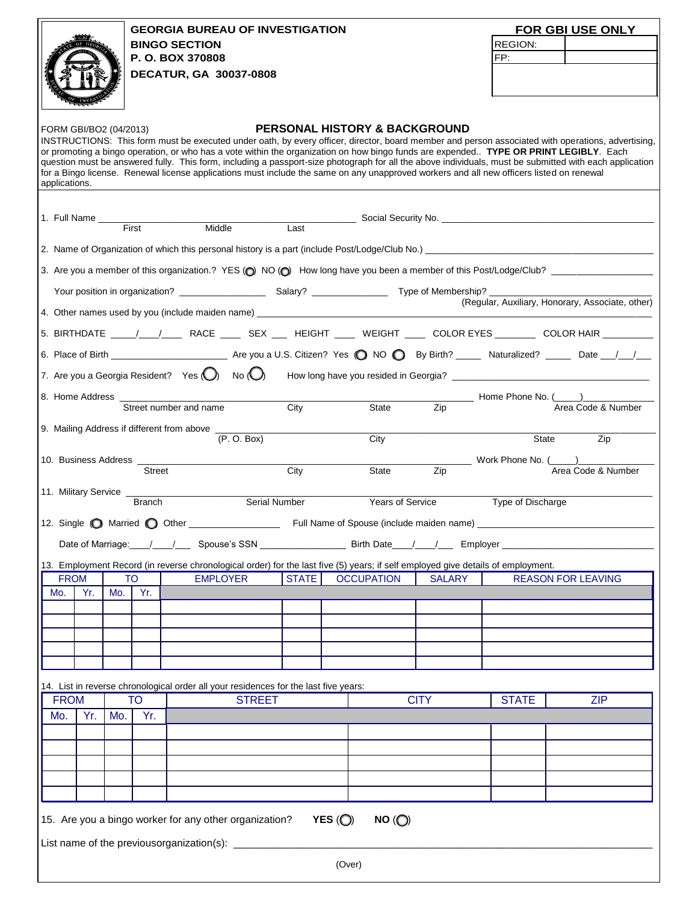|                                                                                                                                                                                                                                                                                                     |     |           |               |                                                                                      |               |              |                                                                                                                                  |               |                                      | FOR DIVISION OF CHARITY BINGO USE ONLY           |  |  |
|-----------------------------------------------------------------------------------------------------------------------------------------------------------------------------------------------------------------------------------------------------------------------------------------------------|-----|-----------|---------------|--------------------------------------------------------------------------------------|---------------|--------------|----------------------------------------------------------------------------------------------------------------------------------|---------------|--------------------------------------|--------------------------------------------------|--|--|
| RETARY OF                                                                                                                                                                                                                                                                                           |     |           |               | <b>DIVISION OF CHARITY BINGO</b>                                                     |               |              |                                                                                                                                  |               | REGION:                              |                                                  |  |  |
|                                                                                                                                                                                                                                                                                                     |     |           |               | 214 State Capitol                                                                    |               |              |                                                                                                                                  |               | FP:                                  |                                                  |  |  |
|                                                                                                                                                                                                                                                                                                     |     |           |               |                                                                                      |               |              |                                                                                                                                  |               |                                      |                                                  |  |  |
| Atlanta, Georgia 30334<br>bingo@sos.ga.gov                                                                                                                                                                                                                                                          |     |           |               |                                                                                      |               |              |                                                                                                                                  |               |                                      |                                                  |  |  |
|                                                                                                                                                                                                                                                                                                     |     |           |               |                                                                                      |               |              |                                                                                                                                  |               |                                      |                                                  |  |  |
|                                                                                                                                                                                                                                                                                                     |     |           |               |                                                                                      |               |              |                                                                                                                                  |               |                                      |                                                  |  |  |
|                                                                                                                                                                                                                                                                                                     |     |           |               |                                                                                      |               |              | <b>PERSONAL HISTORY &amp; BACKGROUND</b>                                                                                         |               |                                      |                                                  |  |  |
| INSTRUCTIONS: This form must be executed under oath, by every officer, director, board member and person associated with operations, advertising,                                                                                                                                                   |     |           |               |                                                                                      |               |              |                                                                                                                                  |               |                                      |                                                  |  |  |
| or promoting a bingo operation, or who has a vote within the organization on how bingo funds are expended TYPE OR PRINT LEGIBLY. Each                                                                                                                                                               |     |           |               |                                                                                      |               |              |                                                                                                                                  |               |                                      |                                                  |  |  |
| question must be answered fully. This form, including a passport-size photograph for all the above individuals, must be submitted with each application<br>for a Bingo license. Renewal license applications must include the same on any unapproved workers and all new officers listed on renewal |     |           |               |                                                                                      |               |              |                                                                                                                                  |               |                                      |                                                  |  |  |
| applications.                                                                                                                                                                                                                                                                                       |     |           |               |                                                                                      |               |              |                                                                                                                                  |               |                                      |                                                  |  |  |
|                                                                                                                                                                                                                                                                                                     |     |           |               |                                                                                      |               |              |                                                                                                                                  |               |                                      |                                                  |  |  |
|                                                                                                                                                                                                                                                                                                     |     |           |               |                                                                                      |               |              |                                                                                                                                  |               |                                      |                                                  |  |  |
|                                                                                                                                                                                                                                                                                                     |     |           |               |                                                                                      |               |              |                                                                                                                                  |               |                                      |                                                  |  |  |
|                                                                                                                                                                                                                                                                                                     |     |           |               |                                                                                      |               |              |                                                                                                                                  |               |                                      |                                                  |  |  |
|                                                                                                                                                                                                                                                                                                     |     |           |               |                                                                                      |               |              |                                                                                                                                  |               |                                      |                                                  |  |  |
|                                                                                                                                                                                                                                                                                                     |     |           |               |                                                                                      |               |              |                                                                                                                                  |               |                                      |                                                  |  |  |
|                                                                                                                                                                                                                                                                                                     |     |           |               |                                                                                      |               |              |                                                                                                                                  |               |                                      |                                                  |  |  |
|                                                                                                                                                                                                                                                                                                     |     |           |               |                                                                                      |               |              |                                                                                                                                  |               |                                      | (Regular, Auxiliary, Honorary, Associate, other) |  |  |
|                                                                                                                                                                                                                                                                                                     |     |           |               |                                                                                      |               |              |                                                                                                                                  |               |                                      |                                                  |  |  |
|                                                                                                                                                                                                                                                                                                     |     |           |               |                                                                                      |               |              |                                                                                                                                  |               |                                      |                                                  |  |  |
|                                                                                                                                                                                                                                                                                                     |     |           |               |                                                                                      |               |              |                                                                                                                                  |               |                                      |                                                  |  |  |
|                                                                                                                                                                                                                                                                                                     |     |           |               |                                                                                      |               |              |                                                                                                                                  |               |                                      |                                                  |  |  |
|                                                                                                                                                                                                                                                                                                     |     |           |               |                                                                                      |               |              |                                                                                                                                  |               |                                      |                                                  |  |  |
|                                                                                                                                                                                                                                                                                                     |     |           |               |                                                                                      |               |              |                                                                                                                                  |               |                                      |                                                  |  |  |
| 8. Home Address _                                                                                                                                                                                                                                                                                   |     |           |               |                                                                                      |               |              |                                                                                                                                  |               | _________ Home Phone No. (______)___ |                                                  |  |  |
|                                                                                                                                                                                                                                                                                                     |     |           |               | Street number and name                                                               |               | City         | State                                                                                                                            | Zip           |                                      | Area Code & Number                               |  |  |
|                                                                                                                                                                                                                                                                                                     |     |           |               | 9. Mailing Address if different from above _                                         |               |              |                                                                                                                                  |               |                                      |                                                  |  |  |
|                                                                                                                                                                                                                                                                                                     |     |           |               |                                                                                      | (P. O. Box)   |              | City                                                                                                                             |               |                                      | State<br>Zip                                     |  |  |
|                                                                                                                                                                                                                                                                                                     |     |           |               |                                                                                      |               |              |                                                                                                                                  |               |                                      |                                                  |  |  |
|                                                                                                                                                                                                                                                                                                     |     |           | <b>Street</b> |                                                                                      |               | City         | State                                                                                                                            | Zip           |                                      | Area Code & Number                               |  |  |
|                                                                                                                                                                                                                                                                                                     |     |           |               |                                                                                      |               |              |                                                                                                                                  |               |                                      |                                                  |  |  |
|                                                                                                                                                                                                                                                                                                     |     |           | <b>Branch</b> |                                                                                      | Serial Number |              | Years of Service                                                                                                                 |               | Type of Discharge                    |                                                  |  |  |
|                                                                                                                                                                                                                                                                                                     |     |           |               |                                                                                      |               |              |                                                                                                                                  |               |                                      |                                                  |  |  |
|                                                                                                                                                                                                                                                                                                     |     |           |               |                                                                                      |               |              |                                                                                                                                  |               |                                      |                                                  |  |  |
|                                                                                                                                                                                                                                                                                                     |     |           |               |                                                                                      |               |              |                                                                                                                                  |               |                                      |                                                  |  |  |
|                                                                                                                                                                                                                                                                                                     |     |           |               |                                                                                      |               |              | 13. Employment Record (in reverse chronological order) for the last five (5) years; if self employed give details of employment. |               |                                      |                                                  |  |  |
| <b>FROM</b>                                                                                                                                                                                                                                                                                         |     | <b>TO</b> |               | <b>EMPLOYER</b>                                                                      |               | <b>STATE</b> | <b>OCCUPATION</b>                                                                                                                | <b>SALARY</b> |                                      | <b>REASON FOR LEAVING</b>                        |  |  |
| Mo.                                                                                                                                                                                                                                                                                                 | Yr. | Mo.       | Yr.           |                                                                                      |               |              |                                                                                                                                  |               |                                      |                                                  |  |  |
|                                                                                                                                                                                                                                                                                                     |     |           |               |                                                                                      |               |              |                                                                                                                                  |               |                                      |                                                  |  |  |
|                                                                                                                                                                                                                                                                                                     |     |           |               |                                                                                      |               |              |                                                                                                                                  |               |                                      |                                                  |  |  |
|                                                                                                                                                                                                                                                                                                     |     |           |               |                                                                                      |               |              |                                                                                                                                  |               |                                      |                                                  |  |  |
|                                                                                                                                                                                                                                                                                                     |     |           |               |                                                                                      |               |              |                                                                                                                                  |               |                                      |                                                  |  |  |
|                                                                                                                                                                                                                                                                                                     |     |           |               |                                                                                      |               |              |                                                                                                                                  |               |                                      |                                                  |  |  |
|                                                                                                                                                                                                                                                                                                     |     |           |               |                                                                                      |               |              |                                                                                                                                  |               |                                      |                                                  |  |  |
|                                                                                                                                                                                                                                                                                                     |     |           |               | 14. List in reverse chronological order all your residences for the last five years: |               |              |                                                                                                                                  |               |                                      |                                                  |  |  |
| <b>FROM</b>                                                                                                                                                                                                                                                                                         |     |           | <b>TO</b>     |                                                                                      | <b>STREET</b> |              |                                                                                                                                  | <b>CITY</b>   | <b>STATE</b>                         | <b>ZIP</b>                                       |  |  |
| Mo.                                                                                                                                                                                                                                                                                                 | Yr. | Mo.       | Yr.           |                                                                                      |               |              |                                                                                                                                  |               |                                      |                                                  |  |  |
|                                                                                                                                                                                                                                                                                                     |     |           |               |                                                                                      |               |              |                                                                                                                                  |               |                                      |                                                  |  |  |
|                                                                                                                                                                                                                                                                                                     |     |           |               |                                                                                      |               |              |                                                                                                                                  |               |                                      |                                                  |  |  |
|                                                                                                                                                                                                                                                                                                     |     |           |               |                                                                                      |               |              |                                                                                                                                  |               |                                      |                                                  |  |  |
|                                                                                                                                                                                                                                                                                                     |     |           |               |                                                                                      |               |              |                                                                                                                                  |               |                                      |                                                  |  |  |
|                                                                                                                                                                                                                                                                                                     |     |           |               |                                                                                      |               |              |                                                                                                                                  |               |                                      |                                                  |  |  |
|                                                                                                                                                                                                                                                                                                     |     |           |               |                                                                                      |               |              |                                                                                                                                  |               |                                      |                                                  |  |  |
|                                                                                                                                                                                                                                                                                                     |     |           |               | 15. Are you a bingo worker for any other organization?                               |               |              | YES $\left(\bigcirc\right)$<br>$NO$ ( $O$ )                                                                                      |               |                                      |                                                  |  |  |
|                                                                                                                                                                                                                                                                                                     |     |           |               | List name of the previousorganization(s): _____                                      |               |              |                                                                                                                                  |               |                                      |                                                  |  |  |
|                                                                                                                                                                                                                                                                                                     |     |           |               |                                                                                      |               |              |                                                                                                                                  |               |                                      |                                                  |  |  |
|                                                                                                                                                                                                                                                                                                     |     |           |               |                                                                                      |               |              |                                                                                                                                  |               |                                      |                                                  |  |  |
|                                                                                                                                                                                                                                                                                                     |     |           |               |                                                                                      |               |              | (Over)                                                                                                                           |               |                                      |                                                  |  |  |